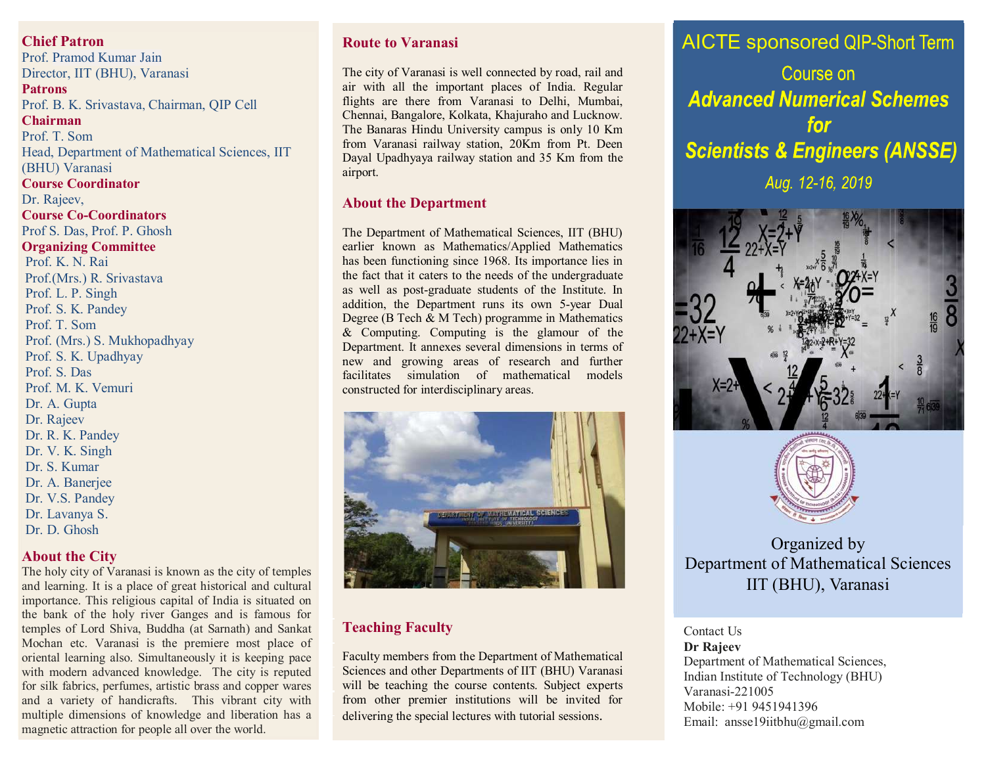**Chief Patron** 

Prof. Pramod Kumar Jain Director, IIT (BHU), Varanasi *Patrons* Prof. B. K. Srivastava, Chairman, QIP Cell **Chairman Chairman** Prof. T. Som **National Advisory Committee:** Head, Department of Mathematical Sciences, IIT (BHU) Varanasi Dr. Rajeev, IIT, Kharagpur, IIT, Kharagpur, IIT, Kharagpur, IIT, Kharagpur, IIT, Kharagpur, IIT, Kharagpur, II **Course Co-Coordinators** Prof S. Das, Prof. P. Ghosh **Organizing Committee** Prof. K. N. Rai *Prof. O.P.Singh & Dr. S. Das* Prof.(Mrs.) R. Srivastava Prof. L. P. Singh *Prof. T. Som & Dr. Rajeev*  Prof. S. K. Pandey aaa *Prof. T. Som & Dr. S.Das* Prof. T. Som Prof. (Mrs.) S. Mukhopadhyay Prof. S. K. Upadhyay Prof. S. Das Prof. M. K. Vemuri  $D_x$ ,  $\Lambda$ ,  $C$ <sub>satz</sub>. Dr. A. Gupta Dr. Rajeev Dr. R. K. Pandey **Course Coordinator** Dr. V. K. Singh Dr. S. Kumar Dr. A. Banerjee Dr. V.S. Pandey Dr. Lavanya S. Dr. D. Ghosh

#### **About the City**

The holy city of Varanasi is known as the city of temples and learning. It is a place of great historical and cultural importance. This religious capital of India is situated on the bank of the holy river Ganges and is famous for temples of Lord Shiva, Buddha (at Sarnath) and Sankat Mochan etc. Varanasi is the premiere most place of oriental learning also. Simultaneously it is keeping pace with modern advanced knowledge. The city is reputed for silk fabrics, perfumes, artistic brass and copper wares and a variety of handicrafts. This vibrant city with multiple dimensions of knowledge and liberation has a magnetic attraction for people all over the world.

## **Route to Varanasi**

The city of Varanasi is well connected by road, rail and air with all the important places of India. Regular flights are there from Varanasi to Delhi, Mumbai, Chennai, Bangalore, Kolkata, Khajuraho and Lucknow. The Banaras Hindu University campus is only 10 Km from Varanasi railway station, 20Km from Pt. Deen Dayal Upadhyaya railway station and 35 Km from the airport.

#### **About the Department**

The Department of Mathematical Sciences, IIT (BHU) earlier known as Mathematics/Applied Mathematics has been functioning since 1968. Its importance lies in the fact that it caters to the needs of the undergraduate as well as post-graduate students of the Institute. In addition, the Department runs its own 5-year Dual Degree (B Tech & M Tech) programme in Mathematics & Computing. Computing is the glamour of the Department. It annexes several dimensions in terms of new and growing areas of research and further facilitates simulation of mathematical models constructed for interdisciplinary areas.



## **Teaching Faculty**

Faculty members from the Department of Mathematical Sciences and other Departments of IIT (BHU) Varanasi will be teaching the course contents. Subject experts from other premier institutions will be invited for delivering the special lectures with tutorial sessions.

**AICTE** sponsored QIP-Short Term

Course on **Advanced Numerical Schemes** for **Scientists & Engineers (ANSSE)** Aug. 12-16, 2019





# Organized by Department of Mathematical Sciences IIT (BHU), Varanasi

#### Contact Us

**Dr Rajeev** Department of Mathematical Sciences, Indian Institute of Technology (BHU) Varanasi-221005 Mobile: +91 9451941396 Email: ansse19iitbhu@gmail.com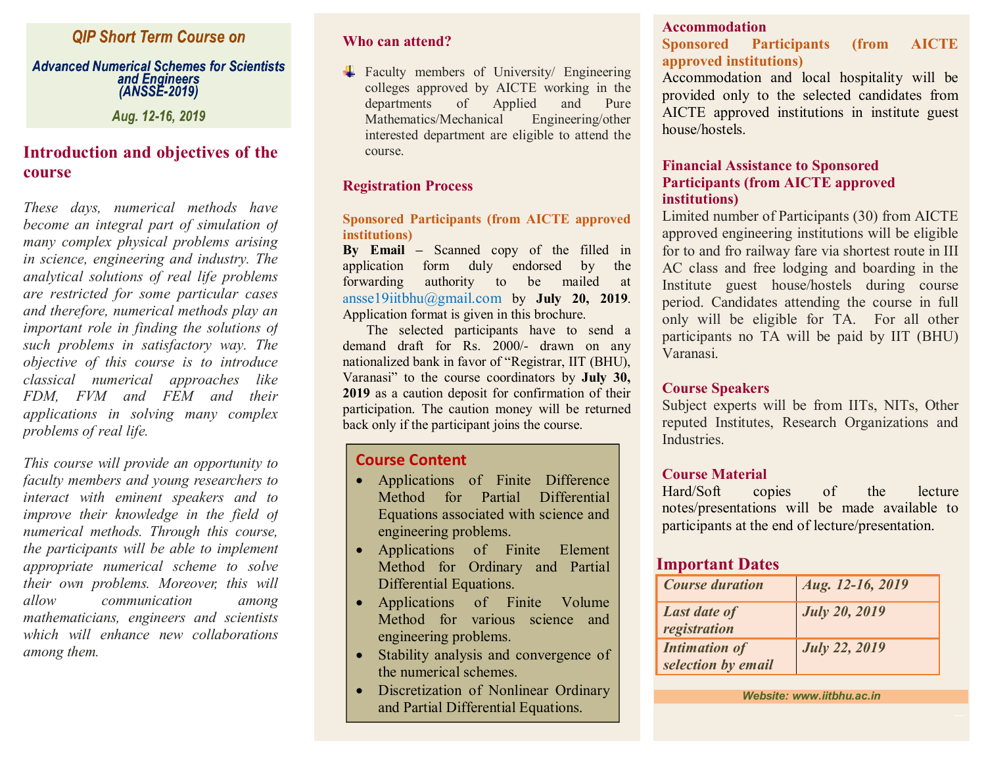# **QIP Short Term Course on**

#### **Advanced Numerical Schemes for Scientists** and Engineers (ANSSE-2019)

Aug. 12-16, 2019

# **Introduction and objectives of the course**

*These days, numerical methods have become an integral part of simulation of many complex physical problems arising in science, engineering and industry. The analytical solutions of real life problems are restricted for some particular cases and therefore, numerical methods play an important role in finding the solutions of such problems in satisfactory way. The objective of this course is to introduce classical numerical approaches like FDM, FVM and FEM and their applications in solving many complex problems of real life.*

*This course will provide an opportunity to faculty members and young researchers to interact with eminent speakers and to improve their knowledge in the field of numerical methods. Through this course, the participants will be able to implement appropriate numerical scheme to solve their own problems. Moreover, this will allow communication among mathematicians, engineers and scientists which will enhance new collaborations among them.*

### **Who can attend?**

Faculty members of University/ Engineering colleges approved by AICTE working in the departments of Applied and Pure Mathematics/Mechanical Engineering/other interested department are eligible to attend the course.

## **Registration Process**

#### **Sponsored Participants (from AICTE approved institutions)**

**By Email –** Scanned copy of the filled in application form duly endorsed by the forwarding authority to be mailed at ansse19iitbhu@gmail.com by **July 20, 2019**. Application format is given in this brochure.

 The selected participants have to send a demand draft for Rs. 2000/- drawn on any nationalized bank in favor of "Registrar, IIT (BHU), Varanasi" to the course coordinators by **July 30, 2019** as a caution deposit for confirmation of their participation. The caution money will be returned back only if the participant joins the course.

## **Course Content**

- · Applications of Finite Difference Method for Partial Differential Equations associated with science and engineering problems.
- · Applications of Finite Element Method for Ordinary and Partial Differential Equations.
- · Applications of Finite Volume Method for various science and engineering problems.
- Stability analysis and convergence of the numerical schemes.
- Discretization of Nonlinear Ordinary and Partial Differential Equations.

## **Accommodation**

## **Sponsored Participants (from AICTE approved institutions)**

Accommodation and local hospitality will be provided only to the selected candidates from AICTE approved institutions in institute guest house/hostels.

## **Financial Assistance to Sponsored Participants (from AICTE approved institutions)**

Limited number of Participants (30) from AICTE approved engineering institutions will be eligible for to and fro railway fare via shortest route in III AC class and free lodging and boarding in the Institute guest house/hostels during course period. Candidates attending the course in full only will be eligible for TA. For all other participants no TA will be paid by IIT (BHU) Varanasi.

## **Course Speakers**

Subject experts will be from IITs, NITs, Other reputed Institutes, Research Organizations and **Industries** 

## **Course Material**

Hard/Soft copies of the lecture notes/presentations will be made available to participants at the end of lecture/presentation.

## **Important Dates**

| <b>Course duration</b>                     | Aug. 12-16, 2019     |
|--------------------------------------------|----------------------|
| <b>Last date of</b><br>registration        | <b>July 20, 2019</b> |
| <b>Intimation of</b><br>selection by email | <b>July 22, 2019</b> |

*Website: www.iitbhu.ac.in*